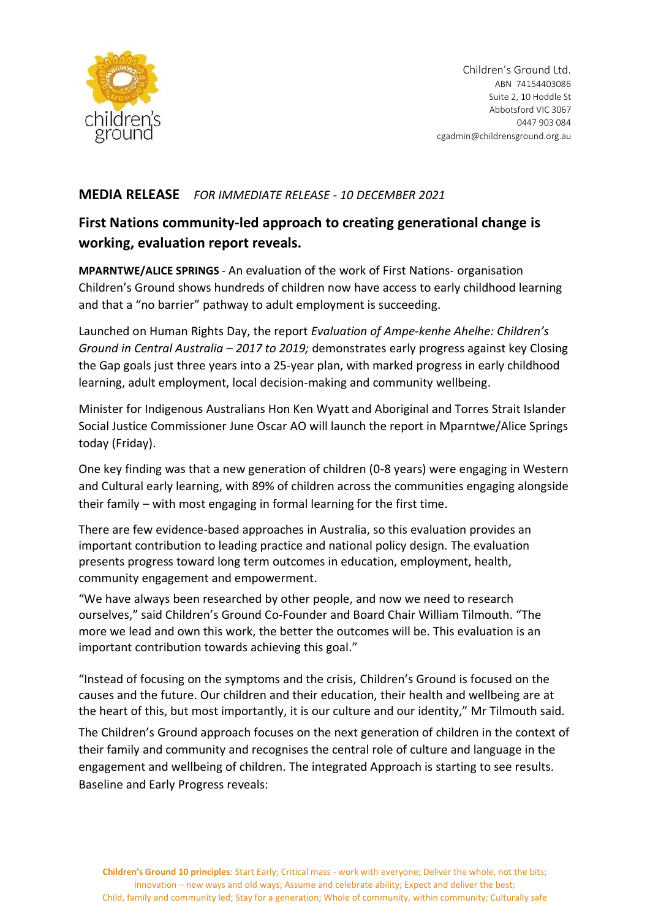

## **MEDIA RELEASE** *FOR IMMEDIATE RELEASE - 10 DECEMBER 2021*

# **First Nations community-led approach to creating generational change is working, evaluation report reveals.**

**MPARNTWE/ALICE SPRINGS** - An evaluation of the work of First Nations- organisation Children's Ground shows hundreds of children now have access to early childhood learning and that a "no barrier" pathway to adult employment is succeeding.

Launched on Human Rights Day, the report *Evaluation of Ampe-kenhe Ahelhe: Children's Ground in Central Australia – 2017 to 2019;* demonstrates early progress against key Closing the Gap goals just three years into a 25-year plan, with marked progress in early childhood learning, adult employment, local decision-making and community wellbeing.

Minister for Indigenous Australians Hon Ken Wyatt and Aboriginal and Torres Strait Islander Social Justice Commissioner June Oscar AO will launch the report in Mparntwe/Alice Springs today (Friday).

One key finding was that a new generation of children (0-8 years) were engaging in Western and Cultural early learning, with 89% of children across the communities engaging alongside their family – with most engaging in formal learning for the first time.

There are few evidence-based approaches in Australia, so this evaluation provides an important contribution to leading practice and national policy design. The evaluation presents progress toward long term outcomes in education, employment, health, community engagement and empowerment.

"We have always been researched by other people, and now we need to research ourselves," said Children's Ground Co-Founder and Board Chair William Tilmouth. "The more we lead and own this work, the better the outcomes will be. This evaluation is an important contribution towards achieving this goal."

"Instead of focusing on the symptoms and the crisis, Children's Ground is focused on the causes and the future. Our children and their education, their health and wellbeing are at the heart of this, but most importantly, it is our culture and our identity," Mr Tilmouth said.

The Children's Ground approach focuses on the next generation of children in the context of their family and community and recognises the central role of culture and language in the engagement and wellbeing of children. The integrated Approach is starting to see results. Baseline and Early Progress reveals: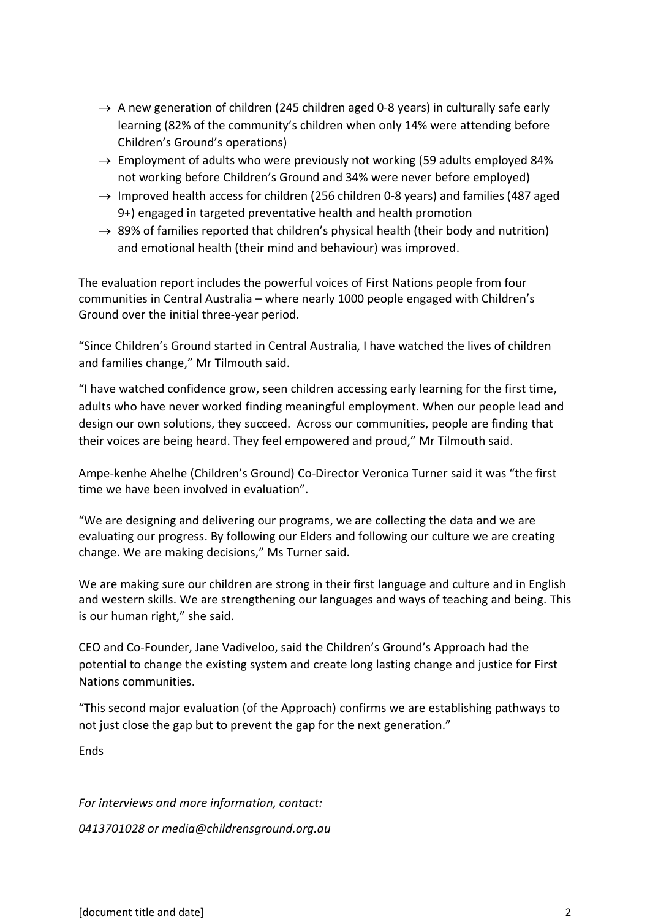- $\rightarrow$  A new generation of children (245 children aged 0-8 years) in culturally safe early learning (82% of the community's children when only 14% were attending before Children's Ground's operations)
- $\rightarrow$  Employment of adults who were previously not working (59 adults employed 84%) not working before Children's Ground and 34% were never before employed)
- $\rightarrow$  Improved health access for children (256 children 0-8 years) and families (487 aged 9+) engaged in targeted preventative health and health promotion
- $\rightarrow$  89% of families reported that children's physical health (their body and nutrition) and emotional health (their mind and behaviour) was improved.

The evaluation report includes the powerful voices of First Nations people from four communities in Central Australia – where nearly 1000 people engaged with Children's Ground over the initial three-year period.

"Since Children's Ground started in Central Australia, I have watched the lives of children and families change," Mr Tilmouth said.

"I have watched confidence grow, seen children accessing early learning for the first time, adults who have never worked finding meaningful employment. When our people lead and design our own solutions, they succeed. Across our communities, people are finding that their voices are being heard. They feel empowered and proud," Mr Tilmouth said.

Ampe-kenhe Ahelhe (Children's Ground) Co-Director Veronica Turner said it was "the first time we have been involved in evaluation".

"We are designing and delivering our programs, we are collecting the data and we are evaluating our progress. By following our Elders and following our culture we are creating change. We are making decisions," Ms Turner said.

We are making sure our children are strong in their first language and culture and in English and western skills. We are strengthening our languages and ways of teaching and being. This is our human right," she said.

CEO and Co-Founder, Jane Vadiveloo, said the Children's Ground's Approach had the potential to change the existing system and create long lasting change and justice for First Nations communities.

"This second major evaluation (of the Approach) confirms we are establishing pathways to not just close the gap but to prevent the gap for the next generation."

**Ends** 

*For interviews and more information, contact:* 

*0413701028 or media@childrensground.org.au*